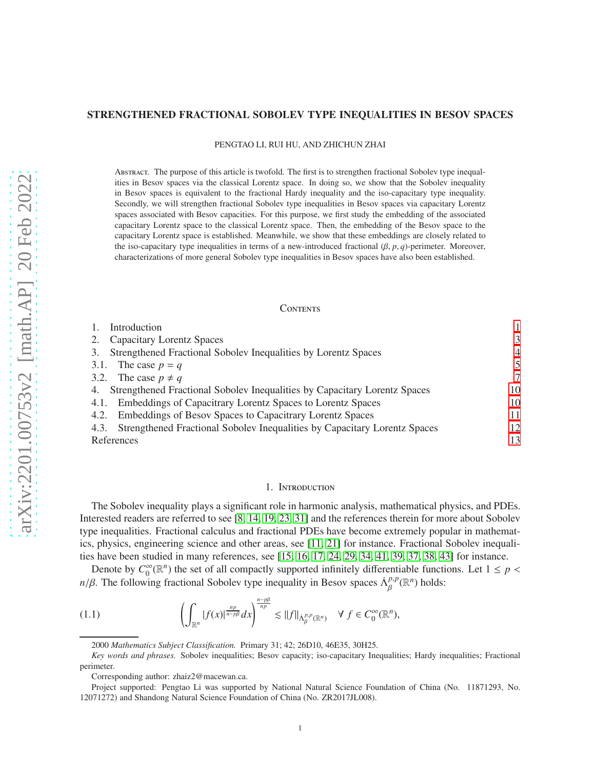## STRENGTHENED FRACTIONAL SOBOLEV TYPE INEQUALITIES IN BESOV SPACES

PENGTAO LI, RUI HU, AND ZHICHUN ZHAI

Abstract. The purpose of this article is twofold. The first is to strengthen fractional Sobolev type inequalities in Besov spaces via the classical Lorentz space. In doing so, we show that the Sobolev inequality in Besov spaces is equivalent to the fractional Hardy inequality and the iso-capacitary type inequality. Secondly, we will strengthen fractional Sobolev type inequalities in Besov spaces via capacitary Lorentz spaces associated with Besov capacities. For this purpose, we first study the embedding of the associated capacitary Lorentz space to the classical Lorentz space. Then, the embedding of the Besov space to the capacitary Lorentz space is established. Meanwhile, we show that these embeddings are closely related to the iso-capacitary type inequalities in terms of a new-introduced fractional  $(\beta, p, q)$ -perimeter. Moreover, characterizations of more general Sobolev type inequalities in Besov spaces have also been established.

#### **CONTENTS**

| Introduction                                                                      |    |
|-----------------------------------------------------------------------------------|----|
| <b>Capacitary Lorentz Spaces</b>                                                  | 3  |
| Strengthened Fractional Sobolev Inequalities by Lorentz Spaces                    | 4  |
| The case $p = q$<br>3.1.                                                          |    |
| 3.2. The case $p \neq q$                                                          | 7  |
| Strengthened Fractional Sobolev Inequalities by Capacitary Lorentz Spaces         | 10 |
| Embeddings of Capacitrary Lorentz Spaces to Lorentz Spaces<br>4.1.                | 10 |
| Embeddings of Besov Spaces to Capacitrary Lorentz Spaces<br>4.2.                  | 11 |
| Strengthened Fractional Sobolev Inequalities by Capacitary Lorentz Spaces<br>4.3. | 12 |
| References                                                                        | 13 |

## 1. Introduction

<span id="page-0-0"></span>The Sobolev inequality plays a significant role in harmonic analysis, mathematical physics, and PDEs. Interested readers are referred to see [\[8,](#page-12-1) [14,](#page-12-2) 19, [23,](#page-13-0) [31\]](#page-13-1) and the references therein for more about Sobolev type inequalities. Fractional calculus and fractional PDEs have become extremely popular in mathematics, physics, engineering science and other areas, see [\[11,](#page-12-3) [21\]](#page-13-2) for instance. Fractional Sobolev inequalities have been studied in many references, see [\[15,](#page-13-3) [16,](#page-13-4) [17,](#page-13-5) 24, [29,](#page-13-6) [34,](#page-13-7) 41, [39,](#page-13-8) [37,](#page-13-9) [38,](#page-13-10) 43] for instance.

Denote by  $C_0^{\infty}$  $_{0}^{\infty}(\mathbb{R}^{n})$  the set of all compactly supported infinitely differentiable functions. Let  $1 \leq p <$ *n*/β. The following fractional Sobolev type inequality in Besov spaces  $\Lambda_R^{p,p}$  $_{\beta}^{p,p}(\mathbb{R}^n)$  holds:

(1.1) 
$$
\left(\int_{\mathbb{R}^n} |f(x)|^{\frac{np}{n-p\beta}} dx\right)^{\frac{n-p\beta}{np}} \lesssim ||f||_{\dot{\Lambda}^{p,p}_{\beta}(\mathbb{R}^n)} \quad \forall f \in C_0^{\infty}(\mathbb{R}^n),
$$

<span id="page-0-1"></span><sup>2000</sup> *Mathematics Subject Classification.* Primary 31; 42; 26D10, 46E35, 30H25.

*Key words and phrases.* Sobolev inequalities; Besov capacity; iso-capacitary Inequalities; Hardy inequalities; Fractional perimeter.

Corresponding author: zhaiz2@macewan.ca.

Project supported: Pengtao Li was supported by National Natural Science Foundation of China (No. 11871293, No. 12071272) and Shandong Natural Science Foundation of China (No. ZR2017JL008).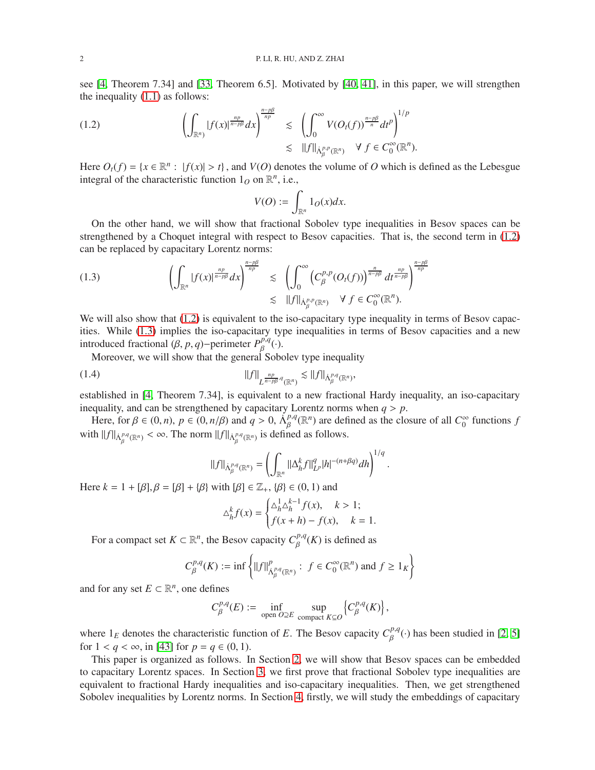see [\[4,](#page-12-4) Theorem 7.34] and [\[33,](#page-13-11) Theorem 6.5]. Motivated by [\[40,](#page-13-12) 41], in this paper, we will strengthen the inequality [\(1.1\)](#page-0-1) as follows:

(1.2) 
$$
\left(\int_{\mathbb{R}^n} |f(x)|^{\frac{np}{n-p\beta}} dx\right)^{\frac{n-p\beta}{np}} \lesssim \left(\int_0^{\infty} V(O_t(f))^{\frac{n-p\beta}{n}} dt^p\right)^{1/p} \lesssim \|f\|_{\dot{\Lambda}_p^{p,p}(\mathbb{R}^n)} \quad \forall \ f \in C_0^{\infty}(\mathbb{R}^n).
$$

Here  $O_t(f) = \{x \in \mathbb{R}^n : |f(x)| > t\}$ , and  $V(O)$  denotes the volume of *O* which is defined as the Lebesgue integral of the characteristic function  $1<sub>O</sub>$  on  $\mathbb{R}^n$ , i.e.,

<span id="page-1-0"></span>
$$
V(O):=\int_{\mathbb{R}^n}1_O(x)dx.
$$

On the other hand, we will show that fractional Sobolev type inequalities in Besov spaces can be strengthened by a Choquet integral with respect to Besov capacities. That is, the second term in [\(1.2\)](#page-1-0) can be replaced by capacitary Lorentz norms:

<span id="page-1-1"></span>(1.3) 
$$
\left(\int_{\mathbb{R}^n} |f(x)|^{\frac{np}{n-p\beta}} dx\right)^{\frac{n-p\beta}{np}} \lesssim \left(\int_0^{\infty} \left(C_{\beta}^{p,p}(O_t(f))\right)^{\frac{n}{n-p\beta}} dt^{\frac{np}{n-p\beta}}\right)^{\frac{n-p\beta}{np}} \lesssim ||f||_{\dot{\Lambda}_{\beta}^{p,p}(\mathbb{R}^n)} \quad \forall \ f \in C_0^{\infty}(\mathbb{R}^n).
$$

We will also show that  $(1.2)$  is equivalent to the iso-capacitary type inequality in terms of Besov capacities. While [\(1.3\)](#page-1-1) implies the iso-capacitary type inequalities in terms of Besov capacities and a new introduced fractional ( $\beta$ , *p*, *q*)−perimeter  $P_{\beta}^{p,q}$  $_{\beta}^{p,q}(\cdot).$ 

Moreover, we will show that the general Sobolev type inequality

$$
||f||_{L^{\frac{np}{n-p\beta},q}(\mathbb{R}^n)} \lesssim ||f||_{\dot{\Lambda}^{p,q}_{\beta}(\mathbb{R}^n)},
$$

established in [\[4,](#page-12-4) Theorem 7.34], is equivalent to a new fractional Hardy inequality, an iso-capacitary inequality, and can be strengthened by capacitary Lorentz norms when  $q > p$ .

Here, for  $\beta \in (0, n)$ ,  $p \in (0, n/\beta)$  and  $q > 0$ ,  $\Lambda_{\beta}^{p,q}$  $\beta_{\beta}^{p,q}(\mathbb{R}^n)$  are defined as the closure of all  $C_0^{\infty}$  $\int_0^\infty$  functions  $f$ with  $||f||_{\dot{\Lambda}^{p,q}_{\beta}(\mathbb{R}^n)} < \infty$ . The norm  $||f||_{\dot{\Lambda}^{p,q}_{\beta}(\mathbb{R}^n)}$  is defined as follows.

$$
||f||_{\dot{\Lambda}_{\beta}^{p,q}(\mathbb{R}^n)} = \left(\int_{\mathbb{R}^n} ||\Delta_h^k f||_{L^p}^q |h|^{-(n+\beta q)} dh\right)^{1/q}.
$$

Here  $k = 1 + [\beta], \beta = [\beta] + {\beta}$  with  $[\beta] \in \mathbb{Z}_+, {\beta} \in (0, 1)$  and

$$
\Delta_h^k f(x) = \begin{cases} \Delta_h^1 \Delta_h^{k-1} f(x), & k > 1; \\ f(x+h) - f(x), & k = 1. \end{cases}
$$

For a compact set  $K \subset \mathbb{R}^n$ , the Besov capacity  $C_R^{p,q}$  $\int_{\beta}^{p,q}(K)$  is defined as

$$
C^{p,q}_{\beta}(K) := \inf \left\{ ||f||^p_{\dot{\Lambda}^{p,q}_{\beta}(\mathbb{R}^n)} : f \in C^{\infty}_0(\mathbb{R}^n) \text{ and } f \ge 1_K \right\}
$$

and for any set  $E \subset \mathbb{R}^n$ , one defines

$$
C^{p,q}_{\beta}(E) := \inf_{\text{open } O \supseteq E} \sup_{\text{compact } K \subseteq O} \left\{ C^{p,q}_{\beta}(K) \right\},\
$$

where  $1_E$  denotes the characteristic function of *E*. The Besov capacity  $C_\beta^{p,q}$  $\beta^{\rho,q}(\cdot)$  has been studied in [\[2,](#page-12-5) 5] for  $1 < q < \infty$ , in [43] for  $p = q \in (0, 1)$ .

This paper is organized as follows. In Section [2,](#page-2-0) we will show that Besov spaces can be embedded to capacitary Lorentz spaces. In Section [3,](#page-3-0) we first prove that fractional Sobolev type inequalities are equivalent to fractional Hardy inequalities and iso-capacitary inequalities. Then, we get strengthened Sobolev inequalities by Lorentz norms. In Section [4,](#page-9-0) firstly, we will study the embeddings of capacitary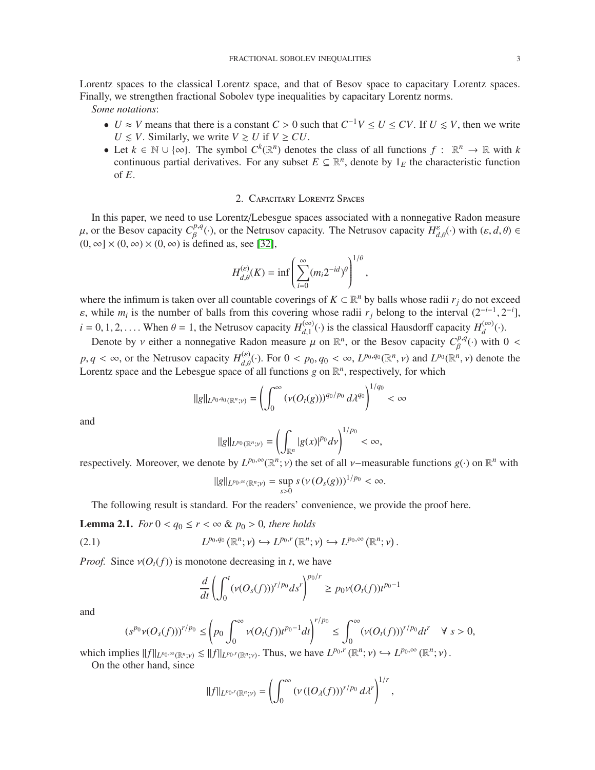Lorentz spaces to the classical Lorentz space, and that of Besov space to capacitary Lorentz spaces. Finally, we strengthen fractional Sobolev type inequalities by capacitary Lorentz norms.

*Some notations*:

- *U* ≈ *V* means that there is a constant *C* > 0 such that  $C^{-1}V \le U \le CV$ . If  $U \le V$ , then we write  $U \leq V$ . Similarly, we write  $V \geq U$  if  $V \geq CU$ .
- Let  $k \in \mathbb{N} \cup \{\infty\}$ . The symbol  $C^k(\mathbb{R}^n)$  denotes the class of all functions  $f: \mathbb{R}^n \to \mathbb{R}$  with  $k$ continuous partial derivatives. For any subset  $E \subseteq \mathbb{R}^n$ , denote by  $1_E$  the characteristic function of *E*.

## 2. Capacitary Lorentz Spaces

<span id="page-2-0"></span>In this paper, we need to use Lorentz/Lebesgue spaces associated with a nonnegative Radon measure  $\mu$ , or the Besov capacity  $C_R^{p,q}$ <sup>*p*,*q*</sup>(·), or the Netrusov capacity. The Netrusov capacity *H*<sup>ε</sup><sub>*d*, $θ$ </sub>(·) with (ε, *d*,  $θ$ ) ∈  $(0, \infty] \times (0, \infty) \times (0, \infty)$  is defined as, see [\[32\]](#page-13-13),

$$
H_{d,\theta}^{(\varepsilon)}(K) = \inf \left( \sum_{i=0}^{\infty} (m_i 2^{-id})^{\theta} \right)^{1/\theta},
$$

where the infimum is taken over all countable coverings of  $K \subset \mathbb{R}^n$  by balls whose radii  $r_j$  do not exceed  $\varepsilon$ , while  $m_i$  is the number of balls from this covering whose radii  $r_j$  belong to the interval  $(2^{-i-1}, 2^{-i}]$ ,  $i = 0, 1, 2, \ldots$  When  $\theta = 1$ , the Netrusov capacity  $H_{d-1}^{(\infty)}$  $\binom{100}{d,1}$  (⋅) is the classical Hausdorff capacity *H*<sup>(∞)</sup>)  $\binom{(\infty)}{d}(\cdot).$ 

Denote by *v* either a nonnegative Radon measure  $\mu$  on  $\mathbb{R}^n$ , or the Besov capacity  $C_R^{p,q}$  $\beta^{\rho,q}(\cdot)$  with  $0 <$  $p, q < \infty$ , or the Netrusov capacity  $H_{d,\theta}^{(\varepsilon)}(\cdot)$ . For  $0 < p_0, q_0 < \infty$ ,  $L^{p_0,q_0}(\mathbb{R}^n, \nu)$  and  $L^{p_0}(\mathbb{R}^n, \nu)$  denote the Lorentz space and the Lebesgue space of all functions  $g$  on  $\mathbb{R}^n$ , respectively, for which

$$
||g||_{L^{p_0,q_0}(\mathbb{R}^n;\nu)} = \left(\int_0^\infty (\nu(O_t(g)))^{q_0/p_0} d\lambda^{q_0}\right)^{1/q_0} < \infty
$$

and

$$
||g||_{L^{p_0}(\mathbb{R}^n; \nu)} = \left(\int_{\mathbb{R}^n} |g(x)|^{p_0} d\nu\right)^{1/p_0} < \infty,
$$

respectively. Moreover, we denote by  $L^{p_0,\infty}(\mathbb{R}^n;\nu)$  the set of all *v*-measurable functions  $g(\cdot)$  on  $\mathbb{R}^n$  with

$$
||g||_{L^{p_0,\infty}(\mathbb{R}^n;\nu)} = \sup_{s>0} s\,(\nu(O_s(g)))^{1/p_0} < \infty.
$$

The following result is standard. For the readers' convenience, we provide the proof here.

<span id="page-2-2"></span>**Lemma 2.1.** *For*  $0 < q_0 \le r < \infty$  &  $p_0 > 0$ *, there holds* 

(2.1) 
$$
L^{p_0,q_0}(\mathbb{R}^n;\nu)\hookrightarrow L^{p_0,r}(\mathbb{R}^n;\nu)\hookrightarrow L^{p_0,\infty}(\mathbb{R}^n;\nu).
$$

*Proof.* Since  $v(O_t(f))$  is monotone decreasing in *t*, we have

<span id="page-2-1"></span>
$$
\frac{d}{dt} \left( \int_0^t (\nu(O_s(f)))^{r/p_0} ds^r \right)^{p_0/r} \ge p_0 \nu(O_t(f)) t^{p_0-1}
$$

and

$$
(s^{p_0}\nu(O_s(f)))^{r/p_0} \le \left(p_0 \int_0^{\infty} \nu(O_t(f))t^{p_0-1}dt\right)^{r/p_0} \le \int_0^{\infty} (\nu(O_t(f)))^{r/p_0}dt^r \quad \forall \ s > 0,
$$

which implies  $||f||_{L^{p_0,\infty}(\mathbb{R}^n; \nu)} \lesssim ||f||_{L^{p_0,r}(\mathbb{R}^n; \nu)}$ . Thus, we have  $L^{p_0,r}(\mathbb{R}^n; \nu) \hookrightarrow L^{p_0,\infty}(\mathbb{R}^n; \nu)$ .

On the other hand, since

$$
||f||_{L^{p_0,r}(\mathbb{R}^n;\nu)}=\left(\int_0^\infty \left(\nu\left(\{O_\lambda(f)\right)\right)^{r/p_0}d\lambda^r\right)^{1/r},\,
$$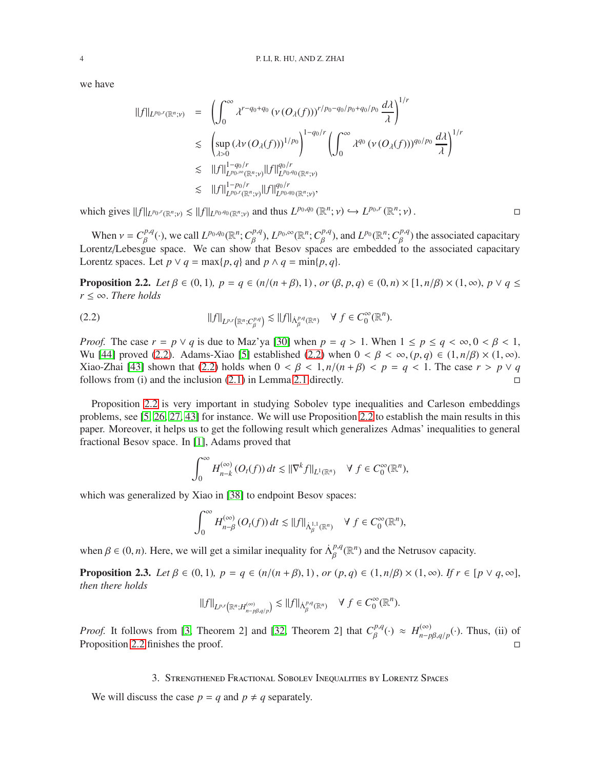we have

$$
\begin{array}{rcl}\n||f||_{L^{p_0,r}(\mathbb{R}^n;\nu)} & = & \left(\int_0^\infty \lambda^{r-q_0+q_0} \left(\nu \left(O_\lambda(f)\right)\right)^{r/p_0-q_0/p_0+q_0/p_0} \frac{d\lambda}{\lambda}\right)^{1/r} \\
& \leq & \left(\sup_{\lambda > 0} \left(\lambda \nu \left(O_\lambda(f)\right)\right)^{1/p_0}\right)^{1-q_0/r} \left(\int_0^\infty \lambda^{q_0} \left(\nu \left(O_\lambda(f)\right)\right)^{q_0/p_0} \frac{d\lambda}{\lambda}\right)^{1/r} \\
& \leq & \left|\|f\right\|_{L^{p_0,\infty}(\mathbb{R}^n;\nu)}^{1-q_0/r} \|f\|_{L^{p_0,q_0}(\mathbb{R}^n;\nu)}^{q_0/r}, \\
& & \left|\|f\right\|_{L^{p_0,r}(\mathbb{R}^n;\nu)}^{1-q_0/r} \|f\|_{L^{p_0,q_0}(\mathbb{R}^n;\nu)}^{q_0/r},\n\end{array}
$$

which gives  $||f||_{L^{p_0,r}(\mathbb{R}^n;\nu)} \lesssim ||f||_{L^{p_0,q_0}(\mathbb{R}^n;\nu)}$  and thus  $L^{p_0,q_0}(\mathbb{R}^n;\nu) \hookrightarrow L^{p_0,r}(\mathbb{R}^n;\nu)$ .

When  $v = C_{\beta}^{p,q}$  $\beta^{\rho,q}(\cdot)$ , we call  $L^{p_0,q_0}(\mathbb{R}^n; C^{p,q}_{\beta})$  $B^{\rho,q}_{\beta}$ ),  $L^{p_0,\infty}(\mathbb{R}^n; C^{p,q}_{\beta})$  $\mathcal{L}^{p,q}$ ), and  $L^{p_0}(\mathbb{R}^n; C^{p,q}_{\beta})$  $\beta_{\beta}^{p,q}$ ) the associated capacitary Lorentz/Lebesgue space. We can show that Besov spaces are embedded to the associated capacitary Lorentz spaces. Let  $p \lor q = \max\{p, q\}$  and  $p \land q = \min\{p, q\}.$ 

<span id="page-3-2"></span>**Proposition 2.2.** *Let* β ∈ (0, 1),  $p = q$  ∈ ( $n/(n + β)$ , 1), *or* (β,  $p, q$ ) ∈ (0,  $n) \times [1, n/β) \times (1, ∞)$ ,  $p ∨ q ≤$ *r* ≤ ∞. *There holds*

<span id="page-3-1"></span>
$$
||f||_{L^{p,r}(\mathbb{R}^n;C^{p,q}_\beta)} \lesssim ||f||_{\dot{\Lambda}^{p,q}_\beta(\mathbb{R}^n)} \quad \forall \ f \in C^{\infty}_0(\mathbb{R}^n).
$$

*Proof.* The case  $r = p \lor q$  is due to Maz'ya [\[30\]](#page-13-14) when  $p = q > 1$ . When  $1 \le p \le q < \infty, 0 < \beta < 1$ , Wu [\[44\]](#page-13-15) proved [\(2.2\)](#page-3-1). Adams-Xiao [5] established [\(2.2\)](#page-3-1) when  $0 < \beta < \infty$ ,  $(p,q) \in (1, n/\beta) \times (1, \infty)$ . Xiao-Zhai [43] shown that [\(2.2\)](#page-3-1) holds when  $0 < \beta < 1$ ,  $n/(n + \beta) < p = q < 1$ . The case  $r > p \vee q$ follows from (i) and the inclusion [\(2.1\)](#page-2-1) in Lemma [2.1](#page-2-2) directly.

Proposition [2.2](#page-3-2) is very important in studying Sobolev type inequalities and Carleson embeddings problems, see [5, [26,](#page-13-16) [27,](#page-13-17) 43] for instance. We will use Proposition [2.2](#page-3-2) to establish the main results in this paper. Moreover, it helps us to get the following result which generalizes Admas' inequalities to general fractional Besov space. In [\[1\]](#page-12-6), Adams proved that

$$
\int_0^\infty H_{n-k}^{(\infty)}(O_t(f)) dt \lesssim ||\nabla^k f||_{L^1(\mathbb{R}^n)} \quad \forall \ f \in C_0^\infty(\mathbb{R}^n),
$$

which was generalized by Xiao in [\[38\]](#page-13-10) to endpoint Besov spaces:

$$
\int_0^\infty H_{n-\beta}^{(\infty)}(O_t(f)) dt \lesssim ||f||_{\dot{\Lambda}^{1,1}_\beta(\mathbb{R}^n)} \quad \forall f \in C_0^\infty(\mathbb{R}^n),
$$

when  $\beta \in (0, n)$ . Here, we will get a similar inequality for  $\dot{\Lambda}^{p,q}_{\beta}$  $_{\beta}^{p,q}(\mathbb{R}^n)$  and the Netrusov capacity.

**Proposition 2.3.** *Let*  $β ∈ (0, 1)$ *,*  $p = q ∈ (n/(n + β), 1)$ *, or*  $(p, q) ∈ (1, n/β) × (1, ∞)$ *. If r* ∈ [ $p ∨ q$ , ∞], *then there holds*

$$
\|f\|_{L^{p,r}\left(\mathbb{R}^n; H^{(\infty)}_{n-p\beta, q/p}\right)}\lesssim \|f\|_{\dot{\Lambda}^{p,q}_\beta(\mathbb{R}^n)}\quad \forall\ f\in C^\infty_0(\mathbb{R}^n).
$$

*Proof.* It follows from [\[3,](#page-12-7) Theorem 2] and [\[32,](#page-13-13) Theorem 2] that  $C_R^{p,q}$  $B^{p,q}(\cdot) \approx H_{n-p}^{(\infty)}$ *n*−*p*β,*q*/*p* (·). Thus, (ii) of Proposition [2.2](#page-3-2) finishes the proof.  $\square$ 

3. Strengthened Fractional Sobolev Inequalities by Lorentz Spaces

<span id="page-3-0"></span>We will discuss the case  $p = q$  and  $p \neq q$  separately.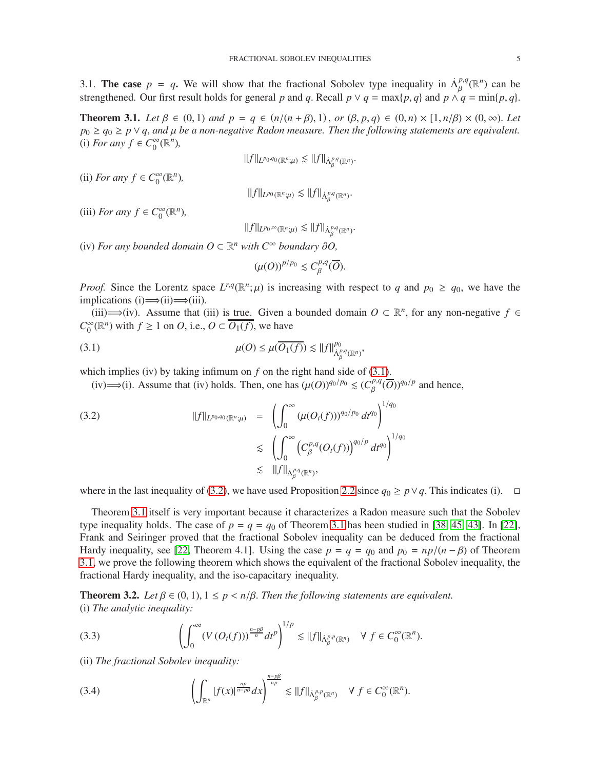<span id="page-4-0"></span>3.1. The case  $p = q$ . We will show that the fractional Sobolev type inequality in  $\Lambda_R^{p,q}$  $_{\beta}^{p,q}(\mathbb{R}^n)$  can be strengthened. Our first result holds for general *p* and *q*. Recall  $p \lor q = \max\{p, q\}$  and  $p \land q = \min\{p, q\}.$ 

<span id="page-4-3"></span>**Theorem 3.1.** *Let* β ∈ (0, 1) *and*  $p = q$  ∈ (*n*/(*n* + β), 1), *or* (β, *p*, *q*) ∈ (0, *n*) × [1, *n*/β) × (0, ∞). *Let p*<sup>0</sup> ≥ *q*<sup>0</sup> ≥ *p* ∨ *q*, *and* µ *be a non-negative Radon measure. Then the following statements are equivalent.* (i) *For any f* ∈  $C_0^∞$  $_{0}^{\infty}(\mathbb{R}^{n}),$ 

$$
||f||_{L^{p_0,q_0}(\mathbb{R}^n;\mu)} \lesssim ||f||_{\dot{\Lambda}^{p,q}_\beta(\mathbb{R}^n)}.
$$

(ii) *For any*  $f \in C_0^\infty$  $_{0}^{\infty}(\mathbb{R}^{n}),$ 

$$
||f||_{L^{p_0}(\mathbb{R}^n;\mu)} \lesssim ||f||_{\dot{\Lambda}^{p,q}_\beta(\mathbb{R}^n)}.
$$

(iii) *For any*  $f \in C_0^\infty$  $_{0}^{\infty}(\mathbb{R}^{n}),$ 

$$
\|f\|_{L^{p_0,\infty}(\mathbb{R}^n;\mu)}\lesssim \|f\|_{\dot{\Lambda}^{p,q}_\beta(\mathbb{R}^n)}.
$$

(iv) *For any bounded domain*  $O ⊂ \mathbb{R}^n$  *with*  $C^∞$  *boundary* ∂*O*,

<span id="page-4-1"></span>
$$
(\mu(O))^{p/p_0} \leq C_{\beta}^{p,q}(\overline{O}).
$$

*Proof.* Since the Lorentz space  $L^{r,q}(\mathbb{R}^n;\mu)$  is increasing with respect to *q* and  $p_0 \ge q_0$ , we have the implications (i)  $\implies$  (ii)  $\implies$  (iii).

(iii)  $\implies$  (iv). Assume that (iii) is true. Given a bounded domain *O* ⊂ ℝ<sup>*n*</sup>, for any non-negative *f* ∈  $C_0^{\infty}$  $\int_0^\infty (\mathbb{R}^n)$  with  $f \ge 1$  on *O*, i.e.,  $O \subset \overline{O_1(f)}$ , we have

(3.1) 
$$
\mu(O) \leq \mu(\overline{O_1(f)}) \lesssim ||f||_{\dot{\Lambda}^{p,q}_{\beta}(\mathbb{R}^n)}^{p_0},
$$

which implies (iv) by taking infimum on *f* on the right hand side of [\(3.1\)](#page-4-1).

<span id="page-4-2"></span>(iv)⇒(i). Assume that (iv) holds. Then, one has  $(\mu(O))^{q_0/p_0}$   $\leq$  ( $C_R^{p,q}$ )  $\frac{p,q}{\beta}(\overline{O}))^{q_0/p}$  and hence,

(3.2) 
$$
||f||_{L^{p_0,q_0}(\mathbb{R}^n;\mu)} = \left(\int_0^{\infty} (\mu(O_t(f)))^{q_0/p_0} dt^{q_0}\right)^{1/q_0} \leq \left(\int_0^{\infty} (C_{\beta}^{p,q}(O_t(f)))^{q_0/p} dt^{q_0}\right)^{1/q_0} \leq ||f||_{\dot{\Lambda}_{\beta}^{p,q}(\mathbb{R}^n)},
$$

where in the last inequality of [\(3.2\)](#page-4-2), we have used Proposition [2.2](#page-3-2) since  $q_0 \ge p \vee q$ . This indicates (i).  $□$ 

Theorem [3.1](#page-4-3) itself is very important because it characterizes a Radon measure such that the Sobolev type inequality holds. The case of  $p = q = q_0$  of Theorem [3.1](#page-4-3) has been studied in [\[38,](#page-13-10) [45,](#page-13-18) 43]. In [22], Frank and Seiringer proved that the fractional Sobolev inequality can be deduced from the fractional Hardy inequality, see [22, Theorem 4.1]. Using the case  $p = q = q_0$  and  $p_0 = np/(n - \beta)$  of Theorem [3.1,](#page-4-3) we prove the following theorem which shows the equivalent of the fractional Sobolev inequality, the fractional Hardy inequality, and the iso-capacitary inequality.

<span id="page-4-6"></span>**Theorem 3.2.** *Let*  $\beta \in (0, 1), 1 \leq p < n/\beta$ . *Then the following statements are equivalent.* (i) *The analytic inequality:*

<span id="page-4-4"></span>(3.3) 
$$
\left(\int_0^\infty (V(O_t(f)))^{\frac{n-p\beta}{n}}dt^p\right)^{1/p} \lesssim ||f||_{\dot{\Lambda}_\beta^{p,p}(\mathbb{R}^n)} \quad \forall \ f \in C_0^\infty(\mathbb{R}^n).
$$

(ii) *The fractional Sobolev inequality:*

<span id="page-4-5"></span>(3.4) 
$$
\left(\int_{\mathbb{R}^n} |f(x)|^{\frac{np}{n-p\beta}} dx\right)^{\frac{n-p\beta}{np}} \lesssim ||f||_{\dot{\Lambda}^{p,p}_{\beta}(\mathbb{R}^n)} \quad \forall \ f \in C_0^{\infty}(\mathbb{R}^n).
$$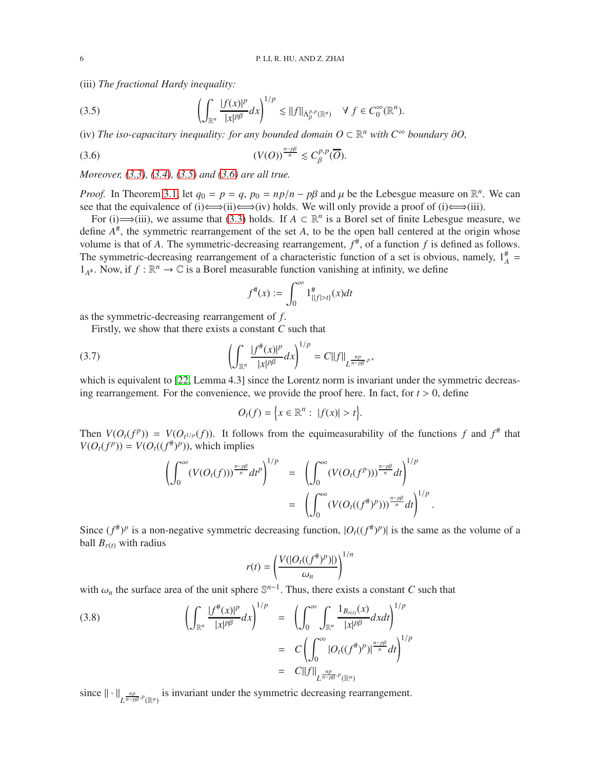(iii) *The fractional Hardy inequality:*

<span id="page-5-0"></span>(3.5) 
$$
\left(\int_{\mathbb{R}^n} \frac{|f(x)|^p}{|x|^{p\beta}} dx\right)^{1/p} \lesssim ||f||_{\dot{\Lambda}_\beta^{p,p}(\mathbb{R}^n)} \quad \forall \ f \in C_0^\infty(\mathbb{R}^n).
$$

(iv) The iso-capacitary inequality: for any bounded domain  $O ⊂ \mathbb{R}^n$  with  $C^{\infty}$  boundary ∂O,

(3.6) (*V*(*O*)) *n*−*p*β *<sup>n</sup>* . *C p*,*p* β (*O*).

*Moreover, [\(3.3\)](#page-4-4), [\(3.4\)](#page-4-5), [\(3.5\)](#page-5-0) and [\(3.6\)](#page-5-1) are all true.*

*Proof.* In Theorem [3.1,](#page-4-3) let  $q_0 = p = q$ ,  $p_0 = np/n - p\beta$  and  $\mu$  be the Lebesgue measure on  $\mathbb{R}^n$ . We can see that the equivalence of (i)  $\Longleftrightarrow$  (ii)  $\Longleftrightarrow$  (iv) holds. We will only provide a proof of (i)  $\Longleftrightarrow$  (iii).

For (i)  $\implies$ (iii), we assume that [\(3.3\)](#page-4-4) holds. If  $A \subset \mathbb{R}^n$  is a Borel set of finite Lebesgue measure, we define *A* # , the symmetric rearrangement of the set *A*, to be the open ball centered at the origin whose volume is that of *A*. The symmetric-decreasing rearrangement, *f* # , of a function *f* is defined as follows. The symmetric-decreasing rearrangement of a characteristic function of a set is obvious, namely,  $1_A^{\#}$  =  $1_{A^*}$ . Now, if  $f : \mathbb{R}^n \to \mathbb{C}$  is a Borel measurable function vanishing at infinity, we define

<span id="page-5-1"></span>
$$
f^{\#}(x) := \int_0^{\infty} 1^{\#}_{\{|f| > t\}}(x) dt
$$

as the symmetric-decreasing rearrangement of *f*.

Firstly, we show that there exists a constant *C* such that

(3.7) 
$$
\left(\int_{\mathbb{R}^n} \frac{|f^{\#}(x)|^p}{|x|^{p\beta}} dx\right)^{1/p} = C||f||_{L^{\frac{np}{n-p\beta}, p}},
$$

which is equivalent to [22, Lemma 4.3] since the Lorentz norm is invariant under the symmetric decreasing rearrangement. For the convenience, we provide the proof here. In fact, for  $t > 0$ , define

<span id="page-5-2"></span>
$$
O_t(f) = \Big\{ x \in \mathbb{R}^n : \ |f(x)| > t \Big\}.
$$

Then  $V(O_t(f^p)) = V(O_{t^{1/p}}(f))$ . It follows from the equimeasurability of the functions f and  $f^{\#}$  that  $V(O_t(f^p)) = V(O_t((f^{\#})^p))$ , which implies

$$
\left(\int_0^\infty (V(O_t(f)))^{\frac{n-p\beta}{n}} dt^p\right)^{1/p} = \left(\int_0^\infty (V(O_t(f^p)))^{\frac{n-p\beta}{n}} dt\right)^{1/p}
$$

$$
= \left(\int_0^\infty (V(O_t((f^{\#})^p)))^{\frac{n-p\beta}{n}} dt\right)^{1/p}.
$$

Since  $(f^*)^p$  is a non-negative symmetric decreasing function,  $|O_t((f^*)^p)|$  is the same as the volume of a ball  $B_{r(t)}$  with radius

<span id="page-5-3"></span>
$$
r(t) = \left(\frac{V(|O_t((f^*)^p)|)}{\omega_n}\right)^{1/n}
$$

with  $\omega_n$  the surface area of the unit sphere  $\mathbb{S}^{n-1}$ . Thus, there exists a constant *C* such that

(3.8) 
$$
\left(\int_{\mathbb{R}^n} \frac{|f^{\#}(x)|^p}{|x|^{p\beta}} dx\right)^{1/p} = \left(\int_0^{\infty} \int_{\mathbb{R}^n} \frac{1_{B_{r(t)}}(x)}{|x|^{p\beta}} dxdt\right)^{1/p} = C \left(\int_0^{\infty} |O_t((f^{\#})^p)|^{\frac{n-p\beta}{n}} dt\right)^{1/p} = C ||f||_{L^{\frac{np}{n-p\beta},p}(\mathbb{R}^n)}
$$

since  $\|\cdot\|_{L^{\frac{np}{n-p\beta},p}(\mathbb{R}^n)}$  is invariant under the symmetric decreasing rearrangement.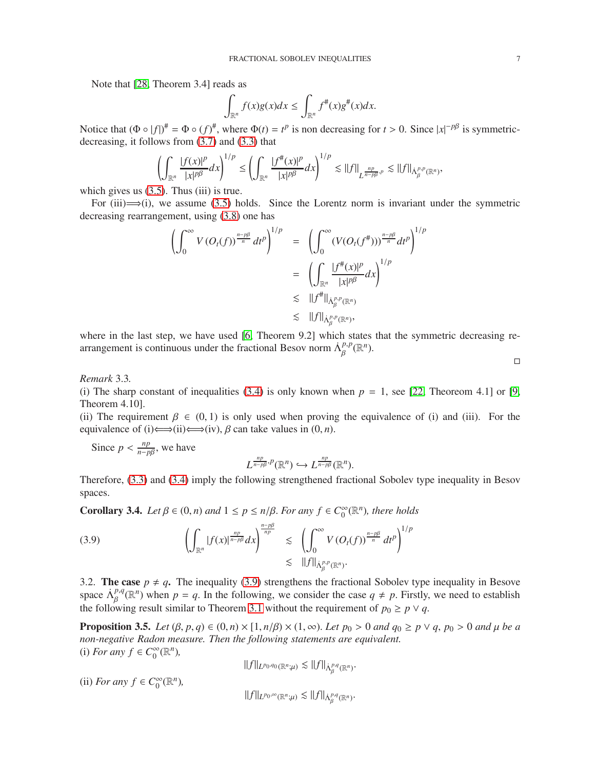Note that [\[28,](#page-13-19) Theorem 3.4] reads as

$$
\int_{\mathbb{R}^n} f(x)g(x)dx \leq \int_{\mathbb{R}^n} f^{\#}(x)g^{\#}(x)dx.
$$

Notice that  $(\Phi \circ |f|)^{\#} = \Phi \circ (f)^{\#}$ , where  $\Phi(t) = t^p$  is non decreasing for  $t > 0$ . Since  $|x|^{-p\beta}$  is symmetricdecreasing, it follows from [\(3.7\)](#page-5-2) and [\(3.3\)](#page-4-4) that

$$
\left(\int_{\mathbb{R}^n} \frac{|f(x)|^p}{|x|^{p\beta}} dx\right)^{1/p} \le \left(\int_{\mathbb{R}^n} \frac{|f^{\#}(x)|^p}{|x|^{p\beta}} dx\right)^{1/p} \lesssim ||f||_{L^{\frac{np}{n-p\beta}, p}} \lesssim ||f||_{\dot{\Lambda}^{p,p}_{\beta}(\mathbb{R}^n)},
$$

which gives us  $(3.5)$ . Thus  $(iii)$  is true.

For (iii) $\implies$ (i), we assume [\(3.5\)](#page-5-0) holds. Since the Lorentz norm is invariant under the symmetric decreasing rearrangement, using [\(3.8\)](#page-5-3) one has

$$
\left(\int_0^\infty V(O_t(f))^{\frac{n-p\beta}{n}} dt^p\right)^{1/p} = \left(\int_0^\infty (V(O_t(f^*)))^{\frac{n-p\beta}{n}} dt^p\right)^{1/p}
$$

$$
= \left(\int_{\mathbb{R}^n} \frac{|f^*(x)|^p}{|x|^{p\beta}} dx\right)^{1/p}
$$

$$
\lesssim ||f^*||_{\dot{\Lambda}_p^{p,p}(\mathbb{R}^n)}
$$

$$
\lesssim ||f||_{\dot{\Lambda}_p^{p,p}(\mathbb{R}^n)},
$$

where in the last step, we have used [\[6,](#page-12-8) Theorem 9.2] which states that the symmetric decreasing rearrangement is continuous under the fractional Besov norm  $\Lambda_R^{p,p}$ β (R *n* ).

*Remark* 3.3*.*

(i) The sharp constant of inequalities [\(3.4\)](#page-4-5) is only known when  $p = 1$ , see [22, Theoreom 4.1] or [\[9,](#page-12-9) Theorem 4.10].

(ii) The requirement  $\beta \in (0, 1)$  is only used when proving the equivalence of (i) and (iii). For the equivalence of (i)  $\Longleftrightarrow$  (ii)  $\Longleftrightarrow$  (iv),  $\beta$  can take values in (0, *n*).

Since  $p < \frac{np}{n-p}$  $\frac{np}{n-p\beta}$ , we have

<span id="page-6-1"></span>
$$
L^{\frac{np}{n-p\beta},p}(\mathbb{R}^n)\hookrightarrow L^{\frac{np}{n-p\beta}}(\mathbb{R}^n).
$$

Therefore, [\(3.3\)](#page-4-4) and [\(3.4\)](#page-4-5) imply the following strengthened fractional Sobolev type inequality in Besov spaces.

**Corollary 3.4.** *Let*  $\beta \in (0, n)$  *and*  $1 \leq p \leq n/\beta$ *. For any*  $f \in C_0^{\infty}$  $_{0}^{\infty}$ ( $\mathbb{R}^{n}$ ), there holds

(3.9) 
$$
\left(\int_{\mathbb{R}^n} |f(x)|^{\frac{np}{n-p\beta}} dx\right)^{\frac{n-p\beta}{np}} \lesssim \left(\int_0^{\infty} V(O_t(f))^{\frac{n-p\beta}{n}} dt^p\right)^{1/p} \lesssim \|f\|_{\dot{\Lambda}_\beta^{p,p}(\mathbb{R}^n)}.
$$

<span id="page-6-0"></span>3.2. The case  $p \neq q$ . The inequality [\(3.9\)](#page-6-1) strengthens the fractional Sobolev type inequality in Besove space  $\Lambda_{\beta}^{p,q}$  $P_{\beta}^{q}(\mathbb{R}^{n})$  when  $p = q$ . In the following, we consider the case  $q \neq p$ . Firstly, we need to establish the following result similar to Theorem [3.1](#page-4-3) without the requirement of  $p_0 \geq p \vee q$ .

<span id="page-6-2"></span>**Proposition 3.5.** *Let*  $(\beta, p, q) \in (0, n) \times [1, n/\beta) \times (1, \infty)$ . *Let*  $p_0 > 0$  *and*  $q_0 \ge p \vee q$ ,  $p_0 > 0$  *and*  $\mu$  *be a non-negative Radon measure. Then the following statements are equivalent.* (i) *For any f* ∈  $C_0^{\infty}$  $_{0}^{\infty}(\mathbb{R}^{n}),$ 

 $||f||_{L^{p_0,q_0}(\mathbb{R}^n;\mu)} \lesssim ||f||_{\dot{\Lambda}^{p,q}_\beta(\mathbb{R}^n)}.$ 

(ii) *For any*  $f \in C_0^\infty$  $_{0}^{\infty}(\mathbb{R}^{n}),$ 

 $||f||_{L^{p_0,\infty}(\mathbb{R}^n;\mu)} \lesssim ||f||_{\dot{\Lambda}^{p,q}_\beta(\mathbb{R}^n)}$ .

 $\Box$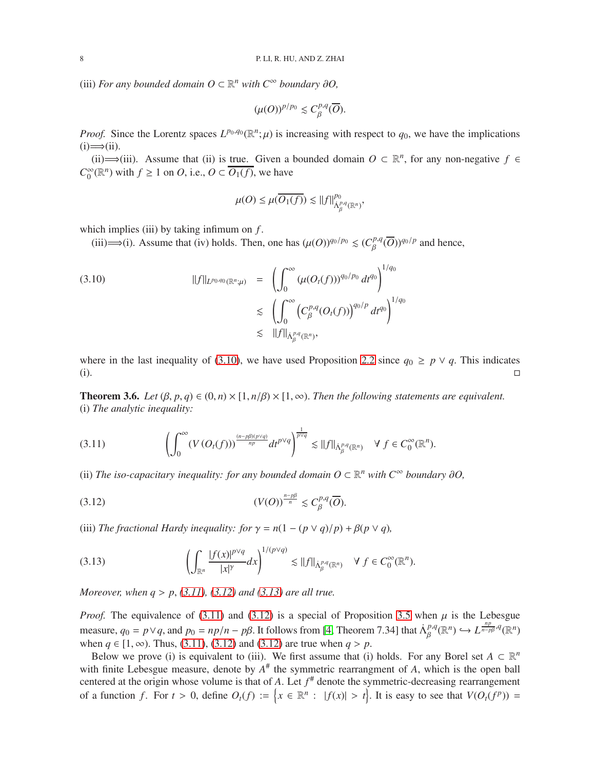(iii) *For any bounded domain*  $O \subset \mathbb{R}^n$  *with*  $C^\infty$  *boundary* ∂*O*,

$$
(\mu(O))^{p/p_0} \leq C_{\beta}^{p,q}(\overline{O}).
$$

*Proof.* Since the Lorentz spaces  $L^{p_0,q_0}(\mathbb{R}^n;\mu)$  is increasing with respect to  $q_0$ , we have the implications  $(i) \Longrightarrow$  $(ii)$ .

(ii)  $\implies$  (iii). Assume that (ii) is true. Given a bounded domain *O* ⊂  $\mathbb{R}^n$ , for any non-negative *f* ∈  $C_0^{\infty}$  $\int_0^\infty (\mathbb{R}^n)$  with  $f \ge 1$  on *O*, i.e.,  $O \subset \overline{O_1(f)}$ , we have

<span id="page-7-0"></span>
$$
\mu(O) \leq \mu(\overline{O_1(f)}) \lesssim ||f||_{\dot{\Lambda}^{p,q}_\beta(\mathbb{R}^n)}^{p_0},
$$

which implies (iii) by taking infimum on *f* .

(iii)  $\Longrightarrow$  (i). Assume that (iv) holds. Then, one has  $(\mu(O))^{q_0/p_0} \leq (C_R^{p,q})^{q_0}$  $\int_{\beta}^{p,q} (\overline{O}))^{q_0/p}$  and hence,

k *f* k*<sup>L</sup> p*0 ,*q*<sup>0</sup> (R*<sup>n</sup>* ;µ) = Z <sup>∞</sup> 0 (µ(*Ot*(*f*))) *<sup>q</sup>*0/*p*<sup>0</sup> *dtq*<sup>0</sup> !1/*q*<sup>0</sup> (3.10) . Z <sup>∞</sup> 0 *C p*,*q* β (*Ot*(*f*))*q*0/*<sup>p</sup> dtq*<sup>0</sup> !1/*q*<sup>0</sup> . k *f* kΛ˙ *p*,*q* β (R*<sup>n</sup>* ) ,

where in the last inequality of [\(3.10\)](#page-7-0), we have used Proposition [2.2](#page-3-2) since  $q_0 \ge p \vee q$ . This indicates (i).

<span id="page-7-4"></span>**Theorem 3.6.** *Let*  $(\beta, p, q) \in (0, n) \times [1, n/\beta) \times [1, \infty)$ . *Then the following statements are equivalent.* (i) *The analytic inequality:*

<span id="page-7-1"></span>
$$
(3.11) \qquad \left(\int_0^\infty (V(O_t(f)))^{\frac{(n-p\beta)(p\vee q)}{np}} dt^{p\vee q}\right)^{\frac{1}{p\vee q}} \lesssim ||f||_{\dot{\Lambda}_\beta^{p,q}(\mathbb{R}^n)} \quad \forall \ f \in C_0^\infty(\mathbb{R}^n).
$$

(ii) The iso-capacitary inequality: for any bounded domain  $O \subset \mathbb{R}^n$  with  $C^{\infty}$  boundary  $\partial O$ ,

<span id="page-7-2"></span>(3.12) (*V*(*O*)) *n*−*p*β *<sup>n</sup>* . *C p*,*q* β (*O*).

(iii) *The fractional Hardy inequality: for*  $\gamma = n(1 - (p \vee q)/p) + \beta(p \vee q)$ ,

<span id="page-7-3"></span>(3.13) 
$$
\left(\int_{\mathbb{R}^n} \frac{|f(x)|^{p\vee q}}{|x|^{\gamma}} dx\right)^{1/(p\vee q)} \lesssim ||f||_{\dot{\Lambda}^{p,q}_{\beta}(\mathbb{R}^n)} \quad \forall f \in C_0^{\infty}(\mathbb{R}^n).
$$

*Moreover, when q* > *p*, *[\(3.11\)](#page-7-1), [\(3.12\)](#page-7-2) and [\(3.13\)](#page-7-3) are all true.*

*Proof.* The equivalence of [\(3.11\)](#page-7-1) and [\(3.12\)](#page-7-2) is a special of Proposition [3.5](#page-6-2) when  $\mu$  is the Lebesgue measure,  $q_0 = p \vee q$ , and  $p_0 = np/n - p\beta$ . It follows from [\[4,](#page-12-4) Theorem 7.34] that  $\dot{\Lambda}^{p,q}_\beta$  $B^{p,q}(\mathbb{R}^n) \hookrightarrow L^{\frac{np}{n-p\beta},q}(\mathbb{R}^n)$ when *q* ∈ [1, ∞). Thus, [\(3.11\)](#page-7-1), [\(3.12\)](#page-7-2) and [\(3.12\)](#page-7-2) are true when *q* > *p*.

Below we prove (i) is equivalent to (iii). We first assume that (i) holds. For any Borel set  $A \subset \mathbb{R}^n$ with finite Lebesgue measure, denote by  $A^{\#}$  the symmetric rearrangment of *A*, which is the open ball centered at the origin whose volume is that of *A*. Let *f* # denote the symmetric-decreasing rearrangement of a function *f*. For  $t > 0$ , define  $O_t(f) := \{x \in \mathbb{R}^n : |f(x)| > t\}$ . It is easy to see that  $V(O_t(f^p)) =$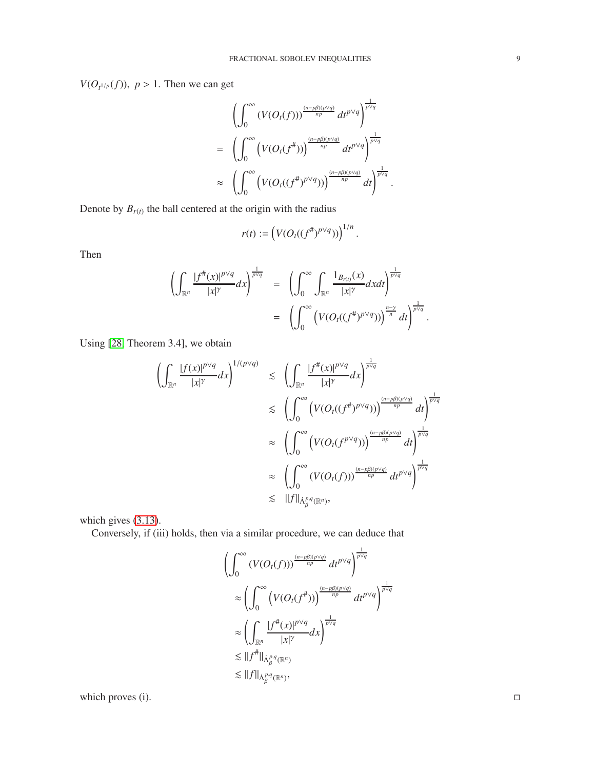$V(O_{t^{1/p}}(f))$ ,  $p > 1$ . Then we can get

$$
\begin{split}\n&\left(\int_0^\infty \left(V(O_t(f))\right)^{\frac{(n-p\beta)(p\vee q)}{np}} dt^{p\vee q}\right)^{\frac{1}{p\vee q}} \\
&=\left(\int_0^\infty \left(V(O_t(f^*)))^{\frac{(n-p\beta)(p\vee q)}{np}} dt^{p\vee q}\right)^{\frac{1}{p\vee q}} \\
&\approx \left(\int_0^\infty \left(V(O_t((f^*)^{p\vee q}))\right)^{\frac{(n-p\beta)(p\vee q)}{np}} dt\right)^{\frac{1}{p\vee q}}.\n\end{split}
$$

Denote by  $B_{r(t)}$  the ball centered at the origin with the radius

$$
r(t) := \left(V(O_t((f^*)^{p\vee q}))\right)^{1/n}.
$$

Then

$$
\left(\int_{\mathbb{R}^n} \frac{|f^{\#}(x)|^{p\vee q}}{|x|^{\gamma}} dx\right)^{\frac{1}{p\vee q}} = \left(\int_0^{\infty} \int_{\mathbb{R}^n} \frac{1_{B_{r(t)}}(x)}{|x|^{\gamma}} dx dt\right)^{\frac{1}{p\vee q}} \n= \left(\int_0^{\infty} \left(V(O_t((f^{\#})^{p\vee q}))\right)^{\frac{n-\gamma}{n}} dt\right)^{\frac{1}{p\vee q}}.
$$

Using [\[28,](#page-13-19) Theorem 3.4], we obtain

$$
\begin{split}\n&\left(\int_{\mathbb{R}^n} \frac{|f(x)|^{p\vee q}}{|x|^{\gamma}} dx\right)^{1/(p\vee q)} \leq \left(\int_{\mathbb{R}^n} \frac{|f^{\#}(x)|^{p\vee q}}{|x|^{\gamma}} dx\right)^{\frac{1}{p\vee q}} \\
&\leq \left(\int_0^{\infty} \left(V(O_t((f^{\#})^{p\vee q}))\right)^{\frac{(n-p\beta)(p\vee q)}{np}} dt\right)^{\frac{1}{p\vee q}} \\
&\approx \left(\int_0^{\infty} \left(V(O_t(f^{p\vee q}))\right)^{\frac{(n-p\beta)(p\vee q)}{np}} dt\right)^{\frac{1}{p\vee q}} \\
&\approx \left(\int_0^{\infty} \left(V(O_t(f)))^{\frac{(n-p\beta)(p\vee q)}{np}} dt^{p\vee q}\right)^{\frac{1}{p\vee q}} \\
&\leq \|f\|_{\dot{\Lambda}_{\beta}^{p,q}(\mathbb{R}^n)},\n\end{split}
$$

which gives [\(3.13\)](#page-7-3).

Conversely, if (iii) holds, then via a similar procedure, we can deduce that

$$
\left(\int_0^\infty (V(O_t(f)))^{\frac{(n-p\beta)(p\vee q)}{np}} dt^{p\vee q} \right)^{\frac{1}{p\vee q}}
$$
  
\n
$$
\approx \left(\int_0^\infty (V(O_t(f^{\#}))^{\frac{(n-p\beta)(p\vee q)}{np}} dt^{p\vee q} \right)^{\frac{1}{p\vee q}}
$$
  
\n
$$
\approx \left(\int_{\mathbb{R}^n} \frac{|f^{\#}(x)|^{p\vee q}}{|x|^{\gamma}} dx\right)^{\frac{1}{p\vee q}}
$$
  
\n
$$
\lesssim ||f^{\#}||_{\dot{\Lambda}_\beta^{p,q}(\mathbb{R}^n)}
$$
  
\n
$$
\lesssim ||f||_{\dot{\Lambda}_\beta^{p,q}(\mathbb{R}^n)},
$$

which proves (i).  $\Box$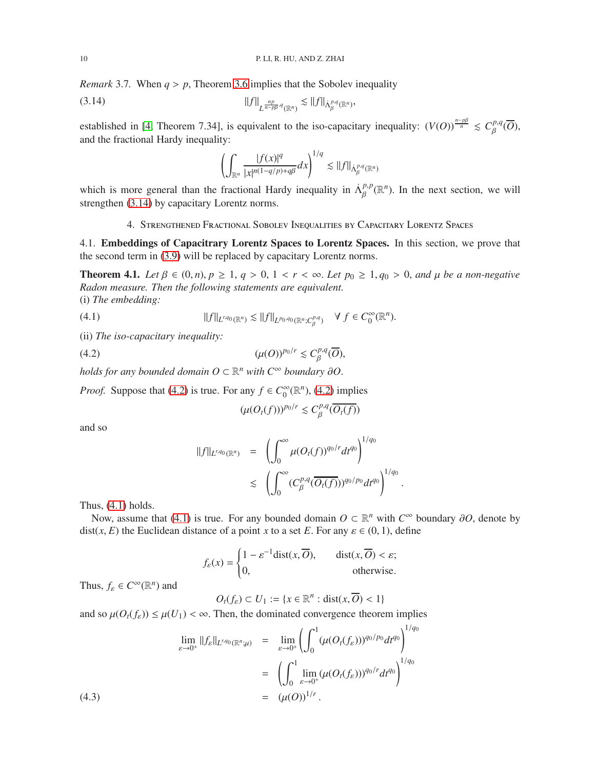*Remark* 3.7*.* When *q* > *p*, Theorem [3.6](#page-7-4) implies that the Sobolev inequality

$$
||f||_{L^{\frac{np}{n-p\beta},q}(\mathbb{R}^n)} \lesssim ||f||_{\dot{\Lambda}^{p,q}_{\beta}(\mathbb{R}^n)},
$$

established in [\[4,](#page-12-4) Theorem 7.34], is equivalent to the iso-capacitary inequality:  $(V(O))^{\frac{n-p\beta}{n}} \leq C_{\beta}^{p,q}$ β (*O*), and the fractional Hardy inequality:

<span id="page-9-2"></span>
$$
\left(\int_{\mathbb{R}^n} \frac{|f(x)|^q}{|x|^{n(1-q/p)+q\beta}} dx\right)^{1/q} \lesssim ||f||_{\dot{\Lambda}^{p,q}_\beta(\mathbb{R}^n)}
$$

<span id="page-9-0"></span>which is more general than the fractional Hardy inequality in  $\Lambda_R^{p,p}$  $_{\beta}^{p,p}(\mathbb{R}^n)$ . In the next section, we will strengthen [\(3.14\)](#page-9-2) by capacitary Lorentz norms.

4. Strengthened Fractional Sobolev Inequalities by Capacitary Lorentz Spaces

<span id="page-9-1"></span>4.1. Embeddings of Capacitrary Lorentz Spaces to Lorentz Spaces. In this section, we prove that the second term in [\(3.9\)](#page-6-1) will be replaced by capacitary Lorentz norms.

<span id="page-9-6"></span>**Theorem 4.1.** *Let*  $β ∈ (0, n), p ≥ 1, q > 0, 1 < r < ∞$ . *Let*  $p_0 ≥ 1, q_0 > 0$ , and  $µ$  *be a non-negative Radon measure. Then the following statements are equivalent.* (i) *The embedding:*

(4.1) 
$$
||f||_{L^{r,q_0}(\mathbb{R}^n)} \lesssim ||f||_{L^{p_0,q_0}(\mathbb{R}^n; C^{p,q}_\beta)} \quad \forall \ f \in C_0^{\infty}(\mathbb{R}^n).
$$

(ii) *The iso-capacitary inequality:*

$$
(4.2) \t\t\t (\mu(O))^{p_0/r} \lesssim C_{\beta}^{p,q}(\overline{O}),
$$

*holds for any bounded domain*  $O \subset \mathbb{R}^n$  *with*  $C^{\infty}$  *boundary* ∂*O*.

*Proof.* Suppose that [\(4.2\)](#page-9-3) is true. For any  $f \in C_0^{\infty}$  $_{0}^{\infty}(\mathbb{R}^{n})$ , [\(4.2\)](#page-9-3) implies

<span id="page-9-4"></span><span id="page-9-3"></span>
$$
(\mu(O_t(f)))^{p_0/r} \lesssim C_{\beta}^{p,q}(\overline{O_t(f)})
$$

and so

$$
\begin{array}{rcl} \|f\|_{L^{r,q_0}(\mathbb{R}^n)} & = & \left( \int_0^\infty \mu(O_t(f))^{q_0/r} dt^{q_0} \right)^{1/q_0} \\ & \leq & \left( \int_0^\infty (C_\beta^{p,q}(\overline{O_t(f)}))^{q_0/p_0} dt^{q_0} \right)^{1/q_0} .\end{array}
$$

Thus,  $(4.1)$  holds.

Now, assume that [\(4.1\)](#page-9-4) is true. For any bounded domain  $O \subset \mathbb{R}^n$  with  $C^{\infty}$  boundary  $\partial O$ , denote by dist(*x*, *E*) the Euclidean distance of a point *x* to a set *E*. For any  $\varepsilon \in (0, 1)$ , define

$$
f_{\varepsilon}(x) = \begin{cases} 1 - \varepsilon^{-1} \operatorname{dist}(x, \overline{O}), & \operatorname{dist}(x, \overline{O}) < \varepsilon; \\ 0, & \text{otherwise.} \end{cases}
$$

Thus,  $f_{\varepsilon} \in C^{\infty}(\mathbb{R}^n)$  and

<span id="page-9-5"></span>
$$
O_t(f_{\varepsilon}) \subset U_1 := \{ x \in \mathbb{R}^n : \text{dist}(x, \overline{O}) < 1 \}
$$

and so  $\mu(O_t(f_{\varepsilon})) \leq \mu(U_1) < \infty$ . Then, the dominated convergence theorem implies

(4.3)  
\n
$$
\lim_{\varepsilon \to 0^+} ||f_{\varepsilon}||_{L^{r,q_0}(\mathbb{R}^n; \mu)} = \lim_{\varepsilon \to 0^+} \left( \int_0^1 (\mu(O_t(f_{\varepsilon})))^{q_0/p_0} dt^{q_0} \right)^{1/q_0}
$$
\n
$$
= \left( \int_0^1 \lim_{\varepsilon \to 0^+} (\mu(O_t(f_{\varepsilon})))^{q_0/r} dt^{q_0} \right)^{1/q_0}
$$
\n
$$
= (\mu(O))^{1/r}.
$$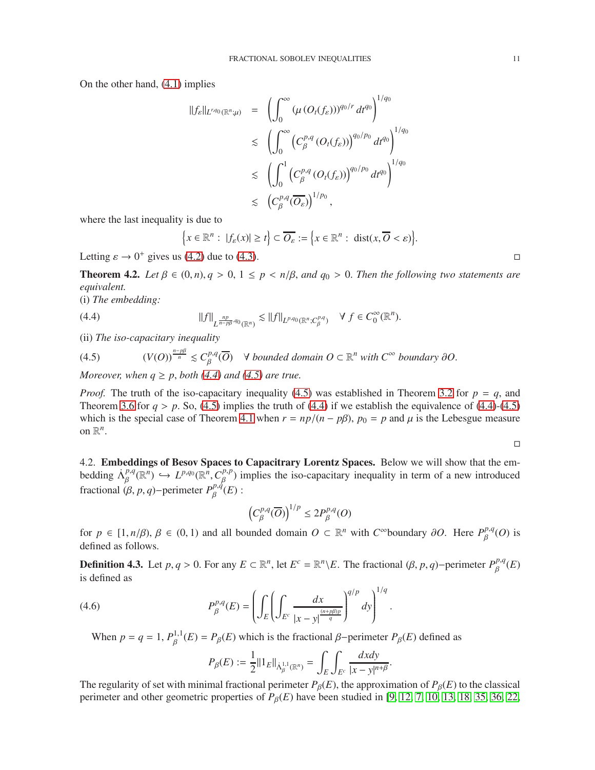On the other hand, [\(4.1\)](#page-9-4) implies

$$
\begin{array}{rcl} \|f_{\varepsilon}\|_{L^{r,q_0}(\mathbb{R}^n;\mu)} & = & \left(\int_0^\infty \left(\mu\left(O_t(f_{\varepsilon})\right)\right)^{q_0/r} dt^{q_0}\right)^{1/q_0} \\ & \leq & \left(\int_0^\infty \left(C_{\beta}^{p,q}\left(O_t(f_{\varepsilon})\right)\right)^{q_0/p_0} dt^{q_0}\right)^{1/q_0} \\ & \leq & \left(\int_0^1 \left(C_{\beta}^{p,q}\left(O_t(f_{\varepsilon})\right)\right)^{q_0/p_0} dt^{q_0}\right)^{1/q_0} \\ & \leq & \left(C_{\beta}^{p,q}(\overline{O_{\varepsilon}})\right)^{1/p_0}, \end{array}
$$

where the last inequality is due to

<span id="page-10-1"></span>
$$
\Big\{x\in\mathbb{R}^n:\ |f_{\varepsilon}(x)|\geq t\Big\}\subset\overline{O_{\varepsilon}}:=\Big\{x\in\mathbb{R}^n:\ \text{dist}(x,\overline{O}<\varepsilon)\Big\}.
$$

Letting  $\varepsilon \to 0^+$  gives us [\(4.2\)](#page-9-3) due to [\(4.3\)](#page-9-5).

<span id="page-10-3"></span>**Theorem 4.2.** *Let*  $\beta \in (0, n)$ ,  $q > 0$ ,  $1 \leq p < n/\beta$ , and  $q_0 > 0$ . Then the following two statements are *equivalent.*

(i) *The embedding:*

(4.4) 
$$
||f||_{L^{\frac{np}{n-p\beta},q_0}(\mathbb{R}^n)} \lesssim ||f||_{L^{p,q_0}(\mathbb{R}^n; C^{p,q}_\beta)} \quad \forall \ f \in C^{\infty}_0(\mathbb{R}^n).
$$

(ii) *The iso-capacitary inequality*

<span id="page-10-2"></span>(4.5) 
$$
(V(O))^{\frac{n-p\beta}{n}} \lesssim C_{\beta}^{p,q}(\overline{O}) \quad \forall \text{ bounded domain } O \subset \mathbb{R}^n \text{ with } C^{\infty} \text{ boundary } \partial O.
$$

*Moreover, when*  $q \geq p$ *, both* [\(4.4\)](#page-10-1) and [\(4.5\)](#page-10-2) are true.

*Proof.* The truth of the iso-capacitary inequality [\(4.5\)](#page-10-2) was established in Theorem [3.2](#page-4-6) for  $p = q$ , and Theorem [3.6](#page-7-4) for  $q > p$ . So, [\(4.5\)](#page-10-2) implies the truth of [\(4.4\)](#page-10-1) if we establish the equivalence of (4.4)-[\(4.5\)](#page-10-2) which is the special case of Theorem [4.1](#page-9-6) when  $r = np/(n - p\beta)$ ,  $p_0 = p$  and  $\mu$  is the Lebesgue measure on  $\mathbb{R}^n$ .

 $\Box$ 

<span id="page-10-0"></span>4.2. Embeddings of Besov Spaces to Capacitrary Lorentz Spaces. Below we will show that the embedding  $\Lambda_{\beta}^{p,q}$  $L^{p,q}(\mathbb{R}^n) \hookrightarrow L^{p,q_0}(\mathbb{R}^n, C^{p,p}_{\beta})$  $\beta_{\beta}^{p,p}$ ) implies the iso-capacitary inequality in term of a new introduced fractional  $(\beta, p, q)$ −perimeter  $P_{\beta}^{p,q}$  $_{\beta}^{\rho,q}(E):$ 

$$
\left(C^{p,q}_{\beta}(\overline{O})\right)^{1/p} \leq 2P^{p,q}_{\beta}(O)
$$

for  $p \in [1, n/\beta), \beta \in (0, 1)$  and all bounded domain  $O \subset \mathbb{R}^n$  with  $C^{\infty}$ boundary  $\partial O$ . Here  $P_{\beta}^{p,q}$  $_{\beta}^{p,q}(O)$  is defined as follows.

**Definition 4.3.** Let *p*, *q* > 0. For any *E* ⊂ ℝ<sup>*n*</sup>, let *E<sup>c</sup>* = ℝ<sup>*n*</sup>\*E*. The fractional (β, *p*, *q*)−perimeter  $P_R^{p,q}$  $_{\beta}^{\rho,q}(E)$ is defined as

(4.6) 
$$
P_{\beta}^{p,q}(E) = \left( \int_{E} \left( \int_{E^{c}} \frac{dx}{|x-y|^{\frac{(n+p\beta)p}{q}}} \right)^{q/p} dy \right)^{1/q}.
$$

When  $p = q = 1, P<sub>g</sub><sup>1,1</sup>$  $B_{\beta}^{1,1}(E) = P_{\beta}(E)$  which is the fractional  $\beta$ -perimeter  $P_{\beta}(E)$  defined as

$$
P_{\beta}(E) := \frac{1}{2} ||1_E||_{\dot{\Lambda}_{\beta}^{1,1}(\mathbb{R}^n)} = \int_{E} \int_{E^c} \frac{dx dy}{|x - y|^{n + \beta}}.
$$

The regularity of set with minimal fractional perimeter  $P_\beta(E)$ , the approximation of  $P_\beta(E)$  to the classical perimeter and other geometric properties of  $P_\beta(E)$  have been studied in [\[9,](#page-12-9) [12,](#page-12-10) [7,](#page-12-11) [10,](#page-12-12) [13,](#page-12-13) [18,](#page-13-20) [35,](#page-13-21) [36,](#page-13-22) 22,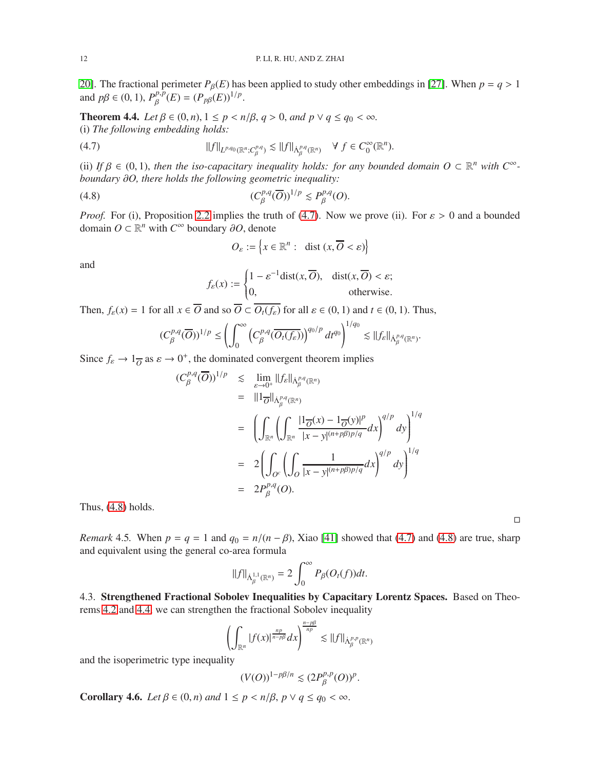[20\]](#page-13-23). The fractional perimeter  $P_\beta(E)$  has been applied to study other embeddings in [\[27\]](#page-13-17). When  $p = q > 1$ and  $p\beta \in (0, 1)$ ,  $P_{\beta}^{p, p}$  $_{\beta}^{p,p}(E) = (P_{p\beta}(E))^{1/p}.$ 

<span id="page-11-3"></span>**Theorem 4.4.** *Let*  $β ∈ (0, n)$ ,  $1 ≤ p < n/β$ ,  $q > 0$ , and  $p ∨ q ≤ q<sub>0</sub> < ∞$ . (i) *The following embedding holds:*

$$
(4.7) \t\t\t\t\t||f||_{L^{p,q_0}(\mathbb{R}^n;C^{p,q}_\beta)} \lesssim ||f||_{\dot{\Lambda}^{p,q}_\beta(\mathbb{R}^n)} \quad \forall \ f \in C^{\infty}_0(\mathbb{R}^n).
$$

(ii) If  $\beta \in (0, 1)$ , then the iso-capacitary inequality holds: for any bounded domain  $O \subset \mathbb{R}^n$  with  $C^\infty$ *boundary* ∂*O, there holds the following geometric inequality:*

$$
(4.8) \t(C_{\beta}^{p,q}(\overline{O}))^{1/p} \lesssim P_{\beta}^{p,q}(O).
$$

*Proof.* For (i), Proposition [2.2](#page-3-2) implies the truth of [\(4.7\)](#page-11-1). Now we prove (ii). For  $\varepsilon > 0$  and a bounded domain  $O \subset \mathbb{R}^n$  with  $C^\infty$  boundary ∂*O*, denote

<span id="page-11-2"></span><span id="page-11-1"></span>
$$
O_{\varepsilon} := \left\{ x \in \mathbb{R}^n : \text{ dist } (x, \overline{O} < \varepsilon) \right\}
$$

and

$$
f_{\varepsilon}(x) := \begin{cases} 1 - \varepsilon^{-1} \operatorname{dist}(x, \overline{O}), & \operatorname{dist}(x, \overline{O}) < \varepsilon; \\ 0, & \text{otherwise.} \end{cases}
$$

Then,  $f_{\varepsilon}(x) = 1$  for all  $x \in \overline{O}$  and so  $\overline{O} \subset O_t(f_{\varepsilon})$  for all  $\varepsilon \in (0, 1)$  and  $t \in (0, 1)$ . Thus,

$$
(C^{p,q}_{\beta}(\overline{O}))^{1/p} \leq \left(\int_0^{\infty} \left(C^{p,q}_{\beta}(\overline{O_t(f_{\varepsilon})})\right)^{q_0/p} dt^{q_0}\right)^{1/q_0} \lesssim ||f_{\varepsilon}||_{\dot{\Lambda}^{p,q}_\beta(\mathbb{R}^n)}.
$$

Since  $f_{\varepsilon} \to 1_{\overline{O}}$  as  $\varepsilon \to 0^+$ , the dominated convergent theorem implies

$$
(C_{\beta}^{p,q}(\overline{O}))^{1/p} \leq \lim_{\varepsilon \to 0^{+}} \|f_{\varepsilon}\|_{\dot{\Lambda}_{\beta}^{p,q}(\mathbb{R}^{n})}
$$
  
\n
$$
= \|1_{\overline{O}}\|_{\dot{\Lambda}_{\beta}^{p,q}(\mathbb{R}^{n})}
$$
  
\n
$$
= \left(\int_{\mathbb{R}^{n}} \left(\int_{\mathbb{R}^{n}} \frac{|1_{\overline{O}}(x) - 1_{\overline{O}}(y)|^{p}}{|x - y|^{(n + p\beta)p/q}} dx\right)^{q/p} dy\right)^{1/q}
$$
  
\n
$$
= 2 \left(\int_{O^{c}} \left(\int_{O} \frac{1}{|x - y|^{(n + p\beta)p/q}} dx\right)^{q/p} dy\right)^{1/q}
$$
  
\n
$$
= 2P_{\beta}^{p,q}(O).
$$

Thus,  $(4.8)$  holds.

*Remark* 4.5. When  $p = q = 1$  and  $q_0 = n/(n - \beta)$ , Xiao [41] showed that [\(4.7\)](#page-11-1) and [\(4.8\)](#page-11-2) are true, sharp and equivalent using the general co-area formula

$$
\|f\|_{\dot{\Lambda}^{1,1}_\beta(\mathbb{R}^n)}=2\int_0^\infty P_\beta(O_t(f))dt.
$$

<span id="page-11-0"></span>4.3. Strengthened Fractional Sobolev Inequalities by Capacitary Lorentz Spaces. Based on Theorems [4.2](#page-10-3) and [4.4,](#page-11-3) we can strengthen the fractional Sobolev inequality

$$
\left(\int_{\mathbb{R}^n} |f(x)|^{\frac{np}{n-p\beta}} dx\right)^{\frac{n-p\beta}{np}} \lesssim ||f||_{\dot{\Lambda}^{p,p}_{\beta}(\mathbb{R}^n)}
$$

and the isoperimetric type inequality

$$
(V(O))^{1-p\beta/n}\lesssim (2P_\beta^{p,p}(O))^p.
$$

**Corollary 4.6.** *Let*  $\beta \in (0, n)$  *and*  $1 \leq p \leq n/\beta$ ,  $p \vee q \leq q_0 < \infty$ .

 $\Box$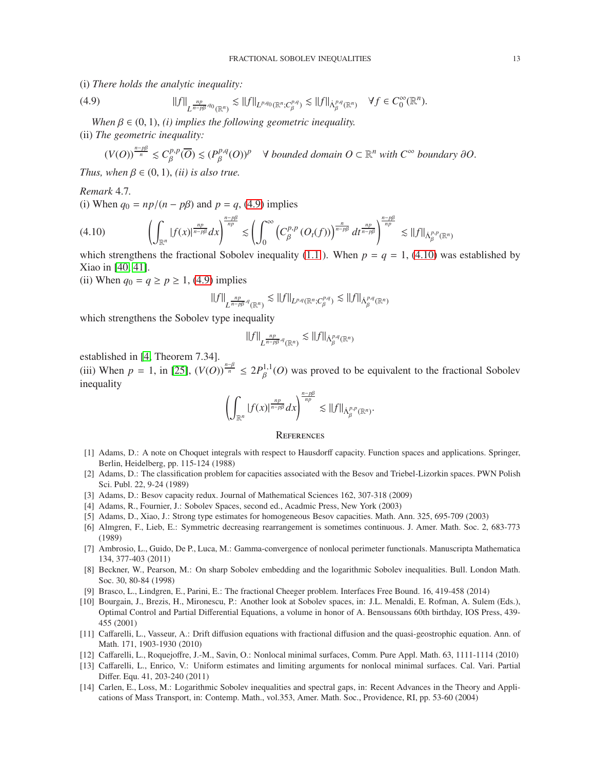(i) *There holds the analytic inequality:*

$$
(4.9) \t\t\t ||f||_{L^{\frac{np}{n-p\beta},q_0}(\mathbb{R}^n)} \lesssim ||f||_{L^{p,q_0}(\mathbb{R}^n;C^{p,q}_\beta)} \lesssim ||f||_{\dot{\Lambda}^{p,q}_\beta(\mathbb{R}^n)} \quad \forall f \in C_0^{\infty}(\mathbb{R}^n).
$$

*When*  $\beta \in (0, 1)$ , *(i) implies the following geometric inequality.* 

(ii) *The geometric inequality:*

<span id="page-12-14"></span>
$$
(V(O))^{\frac{n-p\beta}{n}} \leq C_{\beta}^{p,p}(\overline{O}) \leq (P_{\beta}^{p,q}(O))^p \quad \forall \text{ bounded domain } O \subset \mathbb{R}^n \text{ with } C^{\infty} \text{ boundary } \partial O.
$$

*Thus, when*  $\beta \in (0, 1)$ *, (ii) is also true.* 

# *Remark* 4.7*.*

(i) When  $q_0 = np/(n - p\beta)$  and  $p = q$ , [\(4.9\)](#page-12-14) implies

<span id="page-12-15"></span>
$$
(4.10) \qquad \left(\int_{\mathbb{R}^n} |f(x)|^{\frac{np}{n-p\beta}} dx\right)^{\frac{n-p\beta}{np}} \lesssim \left(\int_0^\infty \left(C_\beta^{p,p}\left(O_t(f)\right)\right)^{\frac{n}{n-p\beta}} dt^{\frac{np}{n-p\beta}}\right)^{\frac{n-p\beta}{np}} \lesssim \|f\|_{\dot{\Lambda}_\beta^{p,p}(\mathbb{R}^n)}
$$

which strengthens the fractional Sobolev inequality [\(1.1](#page-0-1)). When  $p = q = 1$ , [\(4.10\)](#page-12-15) was established by Xiao in [\[40,](#page-13-12) 41].

(ii) When  $q_0 = q \ge p \ge 1$ , [\(4.9\)](#page-12-14) implies

$$
\|f\|_{L^{\frac{np}{n-p\beta},q}(\mathbb R^n)}\lesssim \|f\|_{L^{p,q}(\mathbb R^n; C^{p,q}_\beta)}\lesssim \|f\|_{\dot{\Lambda}^{p,q}_\beta(\mathbb R^n)}
$$

which strengthens the Sobolev type inequality

$$
\|f\|_{L^{\frac{np}{n-p\beta},q}(\mathbb{R}^n)}\lesssim \|f\|_{\dot{\Lambda}^{p,q}_\beta(\mathbb{R}^n)}
$$

established in [\[4,](#page-12-4) Theorem 7.34].

(iii) When  $p = 1$ , in [\[25\]](#page-13-24),  $(V(O))^{\frac{n-\beta}{n}} \leq 2P_R^{1,1}$  $\beta^{1,1}(O)$  was proved to be equivalent to the fractional Sobolev inequality

$$
\left(\int_{\mathbb{R}^n} |f(x)|^{\frac{np}{n-p\beta}} dx\right)^{\frac{n-p\beta}{np}} \lesssim ||f||_{\dot{\Lambda}^{p,p}_{\beta}(\mathbb{R}^n)}.
$$

### <span id="page-12-0"></span>**REFERENCES**

- <span id="page-12-6"></span>[1] Adams, D.: A note on Choquet integrals with respect to Hausdorff capacity. Function spaces and applications. Springer, Berlin, Heidelberg, pp. 115-124 (1988)
- <span id="page-12-5"></span>[2] Adams, D.: The classification problem for capacities associated with the Besov and Triebel-Lizorkin spaces. PWN Polish Sci. Publ. 22, 9-24 (1989)
- <span id="page-12-7"></span><span id="page-12-4"></span>[3] Adams, D.: Besov capacity redux. Journal of Mathematical Sciences 162, 307-318 (2009)
- [4] Adams, R., Fournier, J.: Sobolev Spaces, second ed., Acadmic Press, New York (2003)
- <span id="page-12-8"></span>[5] Adams, D., Xiao, J.: Strong type estimates for homogeneous Besov capacities. Math. Ann. 325, 695-709 (2003)
- [6] Almgren, F., Lieb, E.: Symmetric decreasing rearrangement is sometimes continuous. J. Amer. Math. Soc. 2, 683-773 (1989)
- <span id="page-12-11"></span>[7] Ambrosio, L., Guido, De P., Luca, M.: Gamma-convergence of nonlocal perimeter functionals. Manuscripta Mathematica 134, 377-403 (2011)
- <span id="page-12-1"></span>[8] Beckner, W., Pearson, M.: On sharp Sobolev embedding and the logarithmic Sobolev inequalities. Bull. London Math. Soc. 30, 80-84 (1998)
- <span id="page-12-12"></span><span id="page-12-9"></span>[9] Brasco, L., Lindgren, E., Parini, E.: The fractional Cheeger problem. Interfaces Free Bound. 16, 419-458 (2014)
- [10] Bourgain, J., Brezis, H., Mironescu, P.: Another look at Sobolev spaces, in: J.L. Menaldi, E. Rofman, A. Sulem (Eds.), Optimal Control and Partial Differential Equations, a volume in honor of A. Bensoussans 60th birthday, IOS Press, 439- 455 (2001)
- <span id="page-12-3"></span>[11] Caffarelli, L., Vasseur, A.: Drift diffusion equations with fractional diffusion and the quasi-geostrophic equation. Ann. of Math. 171, 1903-1930 (2010)
- <span id="page-12-13"></span><span id="page-12-10"></span>[12] Caffarelli, L., Roquejoffre, J.-M., Savin, O.: Nonlocal minimal surfaces, Comm. Pure Appl. Math. 63, 1111-1114 (2010)
- [13] Caffarelli, L., Enrico, V.: Uniform estimates and limiting arguments for nonlocal minimal surfaces. Cal. Vari. Partial Differ. Equ. 41, 203-240 (2011)
- <span id="page-12-2"></span>[14] Carlen, E., Loss, M.: Logarithmic Sobolev inequalities and spectral gaps, in: Recent Advances in the Theory and Applications of Mass Transport, in: Contemp. Math., vol.353, Amer. Math. Soc., Providence, RI, pp. 53-60 (2004)